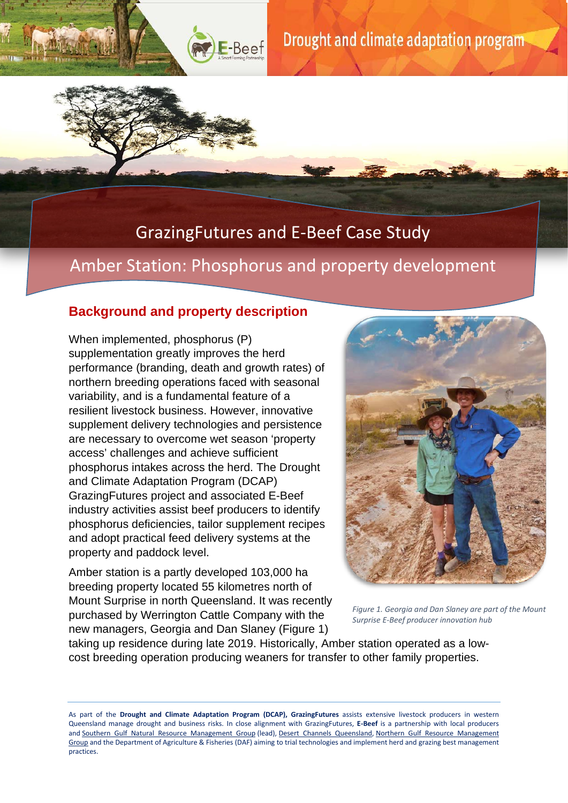

## GrazingFutures and E-Beef Case Study

## Amber Station: Phosphorus and property development

### **Background and property description**

When implemented, phosphorus (P) supplementation greatly improves the herd performance (branding, death and growth rates) of northern breeding operations faced with seasonal variability, and is a fundamental feature of a resilient livestock business. However, innovative supplement delivery technologies and persistence are necessary to overcome wet season 'property access' challenges and achieve sufficient phosphorus intakes across the herd. The Drought and Climate Adaptation Program (DCAP) GrazingFutures project and associated E-Beef industry activities assist beef producers to identify phosphorus deficiencies, tailor supplement recipes and adopt practical feed delivery systems at the property and paddock level.

Amber station is a partly developed 103,000 ha breeding property located 55 kilometres north of Mount Surprise in north Queensland. It was recently purchased by Werrington Cattle Company with the new managers, Georgia and Dan Slaney (Figure 1)



*Figure 1. Georgia and Dan Slaney are part of the Mount Surprise E-Beef producer innovation hub*

taking up residence during late 2019. Historically, Amber station operated as a lowcost breeding operation producing weaners for transfer to other family properties.

As part of the **Drought and Climate Adaptation Program (DCAP), GrazingFutures** assists extensive livestock producers in western Queensland manage drought and business risks. In close alignment with GrazingFutures, **E-Beef** is a partnership with local producers and [Southern Gulf Natural Resource Management Group](https://www.southerngulf.com.au/) (lead), [Desert Channels Queensland,](https://dcq.org.au/) [Northern Gulf Resource Management](https://mynortherngulf.org/)  [Group](https://mynortherngulf.org/) and the Department of Agriculture & Fisheries (DAF) aiming to trial technologies and implement herd and grazing best management practices.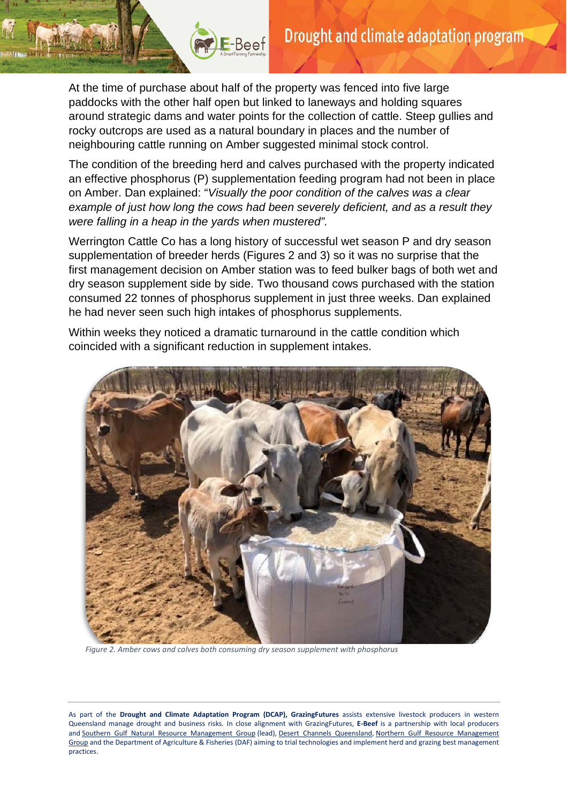At the time of purchase about half of the property was fenced into five large paddocks with the other half open but linked to laneways and holding squares around strategic dams and water points for the collection of cattle. Steep gullies and rocky outcrops are used as a natural boundary in places and the number of neighbouring cattle running on Amber suggested minimal stock control.

E-Beef

The condition of the breeding herd and calves purchased with the property indicated an effective phosphorus (P) supplementation feeding program had not been in place on Amber. Dan explained: "*Visually the poor condition of the calves was a clear example of just how long the cows had been severely deficient, and as a result they were falling in a heap in the yards when mustered".*

Werrington Cattle Co has a long history of successful wet season P and dry season supplementation of breeder herds (Figures 2 and 3) so it was no surprise that the first management decision on Amber station was to feed bulker bags of both wet and dry season supplement side by side. Two thousand cows purchased with the station consumed 22 tonnes of phosphorus supplement in just three weeks. Dan explained he had never seen such high intakes of phosphorus supplements.

Within weeks they noticed a dramatic turnaround in the cattle condition which coincided with a significant reduction in supplement intakes.



*Figure 2. Amber cows and calves both consuming dry season supplement with phosphorus*

As part of the **Drought and Climate Adaptation Program (DCAP), GrazingFutures** assists extensive livestock producers in western Queensland manage drought and business risks. In close alignment with GrazingFutures, **E-Beef** is a partnership with local producers and [Southern Gulf Natural Resource Management Group](https://www.southerngulf.com.au/) (lead), [Desert Channels Queensland,](https://dcq.org.au/) [Northern Gulf Resource Management](https://mynortherngulf.org/)  [Group](https://mynortherngulf.org/) and the Department of Agriculture & Fisheries (DAF) aiming to trial technologies and implement herd and grazing best management practices.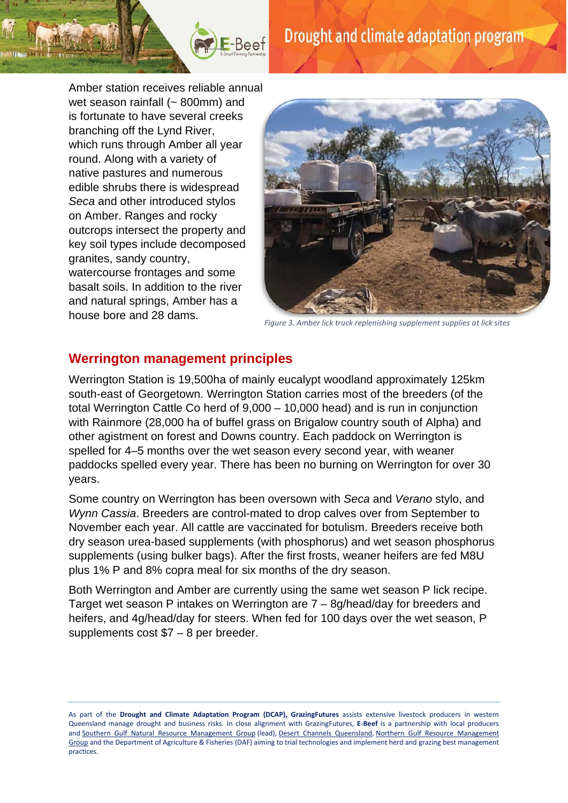

Amber station receives reliable annual wet season rainfall (~ 800mm) and is fortunate to have several creeks branching off the Lynd River, which runs through Amber all year round. Along with a variety of native pastures and numerous edible shrubs there is widespread *Seca* and other introduced stylos on Amber. Ranges and rocky outcrops intersect the property and key soil types include decomposed granites, sandy country, watercourse frontages and some basalt soils. In addition to the river and natural springs, Amber has a house bore and 28 dams.

E-Beef



*Figure 3. Amber lick truck replenishing supplement supplies at lick sites*

#### **Werrington management principles**

Werrington Station is 19,500ha of mainly eucalypt woodland approximately 125km south-east of Georgetown. Werrington Station carries most of the breeders (of the total Werrington Cattle Co herd of 9,000 – 10,000 head) and is run in conjunction with Rainmore (28,000 ha of buffel grass on Brigalow country south of Alpha) and other agistment on forest and Downs country. Each paddock on Werrington is spelled for 4–5 months over the wet season every second year, with weaner paddocks spelled every year. There has been no burning on Werrington for over 30 years.

Some country on Werrington has been oversown with *Seca* and *Verano* stylo, and *Wynn Cassia*. Breeders are control-mated to drop calves over from September to November each year. All cattle are vaccinated for botulism. Breeders receive both dry season urea-based supplements (with phosphorus) and wet season phosphorus supplements (using bulker bags). After the first frosts, weaner heifers are fed M8U plus 1% P and 8% copra meal for six months of the dry season.

Both Werrington and Amber are currently using the same wet season P lick recipe. Target wet season P intakes on Werrington are 7 – 8g/head/day for breeders and heifers, and 4g/head/day for steers. When fed for 100 days over the wet season, P supplements cost \$7 – 8 per breeder.

As part of the **Drought and Climate Adaptation Program (DCAP), GrazingFutures** assists extensive livestock producers in western Queensland manage drought and business risks. In close alignment with GrazingFutures, **E-Beef** is a partnership with local producers and [Southern Gulf Natural Resource Management Group](https://www.southerngulf.com.au/) (lead), [Desert Channels Queensland,](https://dcq.org.au/) [Northern Gulf Resource Management](https://mynortherngulf.org/)  [Group](https://mynortherngulf.org/) and the Department of Agriculture & Fisheries (DAF) aiming to trial technologies and implement herd and grazing best management practices.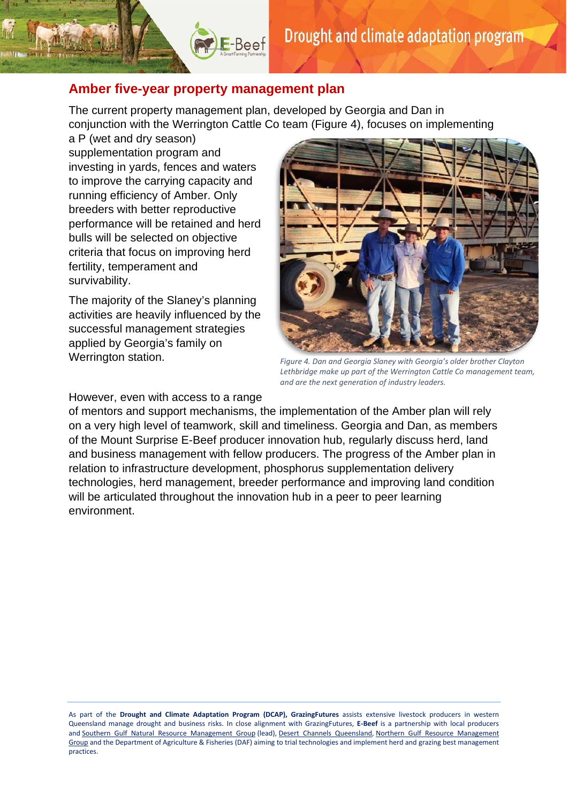#### **Amber five-year property management plan**

 $\left( \frac{1}{2} \right)$  E-Beef

The current property management plan, developed by Georgia and Dan in conjunction with the Werrington Cattle Co team (Figure 4), focuses on implementing

a P (wet and dry season) supplementation program and investing in yards, fences and waters to improve the carrying capacity and running efficiency of Amber. Only breeders with better reproductive performance will be retained and herd bulls will be selected on objective criteria that focus on improving herd fertility, temperament and survivability.

The majority of the Slaney's planning activities are heavily influenced by the successful management strategies applied by Georgia's family on Werrington station.



*Figure 4. Dan and Georgia Slaney with Georgia's older brother Clayton Lethbridge make up part of the Werrington Cattle Co management team, and are the next generation of industry leaders.* 

However, even with access to a range

of mentors and support mechanisms, the implementation of the Amber plan will rely on a very high level of teamwork, skill and timeliness. Georgia and Dan, as members of the Mount Surprise E-Beef producer innovation hub, regularly discuss herd, land and business management with fellow producers. The progress of the Amber plan in relation to infrastructure development, phosphorus supplementation delivery technologies, herd management, breeder performance and improving land condition will be articulated throughout the innovation hub in a peer to peer learning environment.

As part of the **Drought and Climate Adaptation Program (DCAP), GrazingFutures** assists extensive livestock producers in western Queensland manage drought and business risks. In close alignment with GrazingFutures, **E-Beef** is a partnership with local producers and [Southern Gulf Natural Resource Management Group](https://www.southerngulf.com.au/) (lead), [Desert Channels Queensland,](https://dcq.org.au/) [Northern Gulf Resource Management](https://mynortherngulf.org/)  [Group](https://mynortherngulf.org/) and the Department of Agriculture & Fisheries (DAF) aiming to trial technologies and implement herd and grazing best management practices.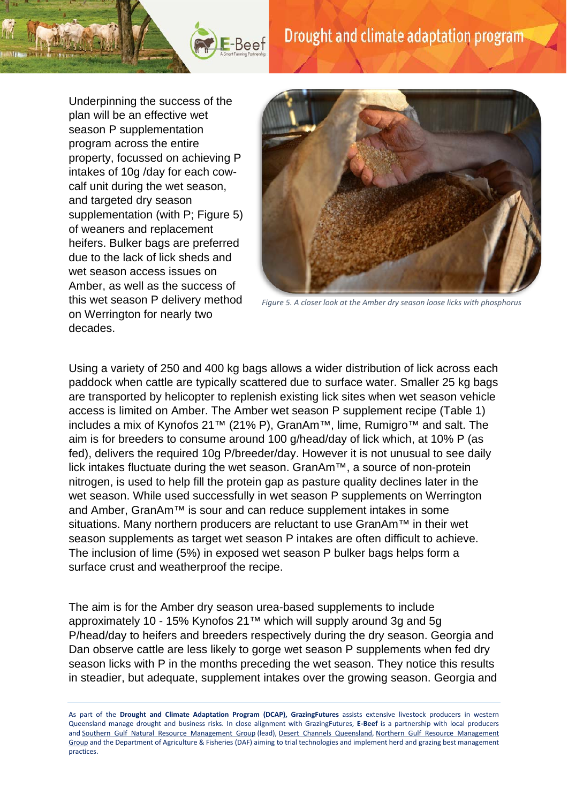# Drought and climate adaptation program

Underpinning the success of the plan will be an effective wet season P supplementation program across the entire property, focussed on achieving P intakes of 10g /day for each cowcalf unit during the wet season, and targeted dry season supplementation (with P; Figure 5) of weaners and replacement heifers. Bulker bags are preferred due to the lack of lick sheds and wet season access issues on Amber, as well as the success of this wet season P delivery method on Werrington for nearly two decades.

E-Beef



*Figure 5. A closer look at the Amber dry season loose licks with phosphorus*

Using a variety of 250 and 400 kg bags allows a wider distribution of lick across each paddock when cattle are typically scattered due to surface water. Smaller 25 kg bags are transported by helicopter to replenish existing lick sites when wet season vehicle access is limited on Amber. The Amber wet season P supplement recipe (Table 1) includes a mix of Kynofos 21™ (21% P), GranAm™, lime, Rumigro™ and salt. The aim is for breeders to consume around 100 g/head/day of lick which, at 10% P (as fed), delivers the required 10g P/breeder/day. However it is not unusual to see daily lick intakes fluctuate during the wet season. GranAm™, a source of non-protein nitrogen, is used to help fill the protein gap as pasture quality declines later in the wet season. While used successfully in wet season P supplements on Werrington and Amber, GranAm™ is sour and can reduce supplement intakes in some situations. Many northern producers are reluctant to use GranAm<sup>™</sup> in their wet season supplements as target wet season P intakes are often difficult to achieve. The inclusion of lime (5%) in exposed wet season P bulker bags helps form a surface crust and weatherproof the recipe.

The aim is for the Amber dry season urea-based supplements to include approximately 10 - 15% Kynofos 21™ which will supply around 3g and 5g P/head/day to heifers and breeders respectively during the dry season. Georgia and Dan observe cattle are less likely to gorge wet season P supplements when fed dry season licks with P in the months preceding the wet season. They notice this results in steadier, but adequate, supplement intakes over the growing season. Georgia and

As part of the **Drought and Climate Adaptation Program (DCAP), GrazingFutures** assists extensive livestock producers in western Queensland manage drought and business risks. In close alignment with GrazingFutures, **E-Beef** is a partnership with local producers and [Southern Gulf Natural Resource Management Group](https://www.southerngulf.com.au/) (lead), [Desert Channels Queensland,](https://dcq.org.au/) [Northern Gulf Resource Management](https://mynortherngulf.org/)  [Group](https://mynortherngulf.org/) and the Department of Agriculture & Fisheries (DAF) aiming to trial technologies and implement herd and grazing best management practices.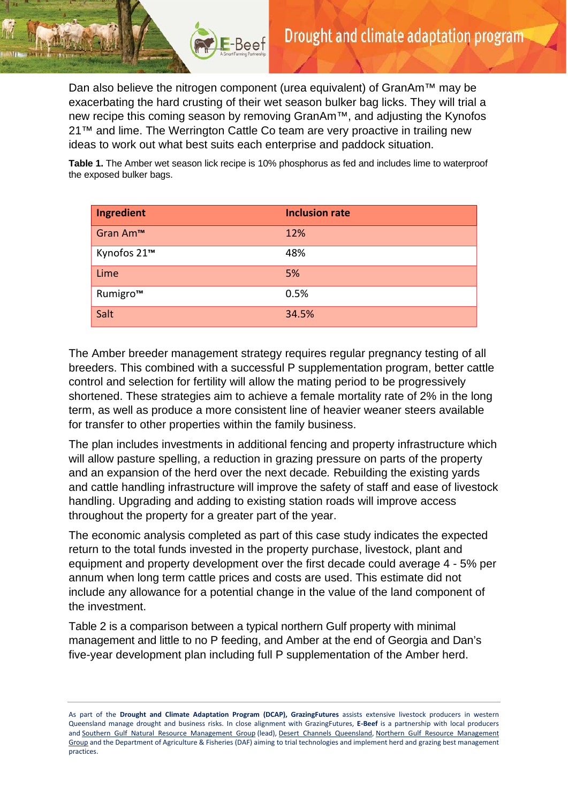Dan also believe the nitrogen component (urea equivalent) of GranAm<sup>™</sup> may be exacerbating the hard crusting of their wet season bulker bag licks. They will trial a new recipe this coming season by removing GranAm™, and adjusting the Kynofos 21<sup>™</sup> and lime. The Werrington Cattle Co team are very proactive in trailing new ideas to work out what best suits each enterprise and paddock situation.

E-Beef

**Table 1.** The Amber wet season lick recipe is 10% phosphorus as fed and includes lime to waterproof the exposed bulker bags.

| Ingredient  | <b>Inclusion rate</b> |
|-------------|-----------------------|
| Gran Am™    | 12%                   |
| Kynofos 21™ | 48%                   |
| Lime        | 5%                    |
| Rumigro™    | 0.5%                  |
| Salt        | 34.5%                 |

The Amber breeder management strategy requires regular pregnancy testing of all breeders. This combined with a successful P supplementation program, better cattle control and selection for fertility will allow the mating period to be progressively shortened. These strategies aim to achieve a female mortality rate of 2% in the long term, as well as produce a more consistent line of heavier weaner steers available for transfer to other properties within the family business.

The plan includes investments in additional fencing and property infrastructure which will allow pasture spelling, a reduction in grazing pressure on parts of the property and an expansion of the herd over the next decade*.* Rebuilding the existing yards and cattle handling infrastructure will improve the safety of staff and ease of livestock handling. Upgrading and adding to existing station roads will improve access throughout the property for a greater part of the year.

The economic analysis completed as part of this case study indicates the expected return to the total funds invested in the property purchase, livestock, plant and equipment and property development over the first decade could average 4 - 5% per annum when long term cattle prices and costs are used. This estimate did not include any allowance for a potential change in the value of the land component of the investment.

Table 2 is a comparison between a typical northern Gulf property with minimal management and little to no P feeding, and Amber at the end of Georgia and Dan's five-year development plan including full P supplementation of the Amber herd.

As part of the **Drought and Climate Adaptation Program (DCAP), GrazingFutures** assists extensive livestock producers in western Queensland manage drought and business risks. In close alignment with GrazingFutures, **E-Beef** is a partnership with local producers and [Southern Gulf Natural Resource Management Group](https://www.southerngulf.com.au/) (lead), [Desert Channels Queensland,](https://dcq.org.au/) [Northern Gulf Resource Management](https://mynortherngulf.org/)  [Group](https://mynortherngulf.org/) and the Department of Agriculture & Fisheries (DAF) aiming to trial technologies and implement herd and grazing best management practices.